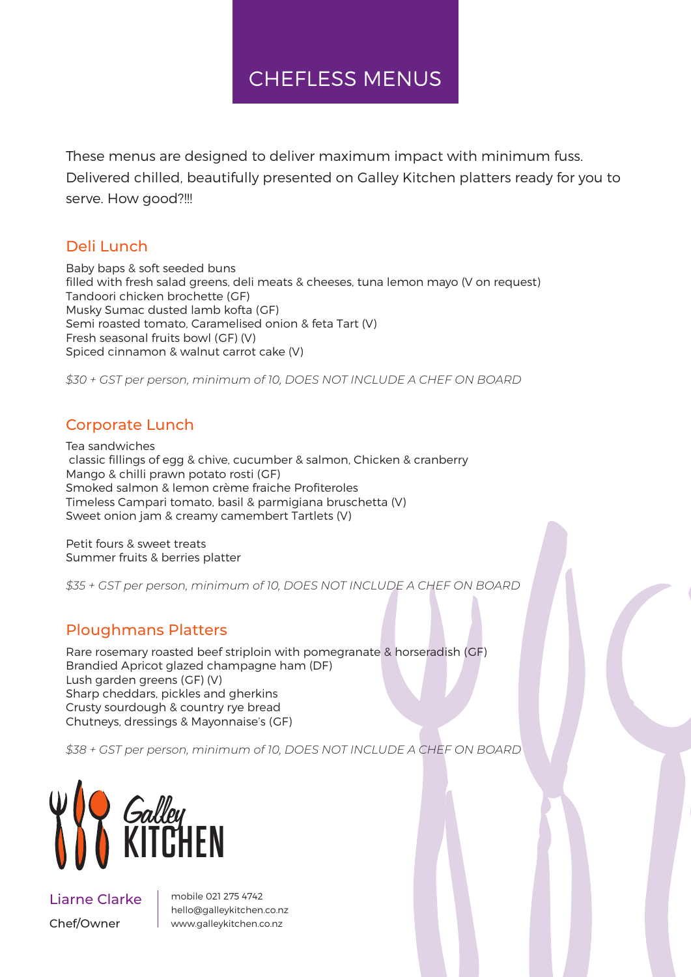## CHEFLESS MENUS

These menus are designed to deliver maximum impact with minimum fuss. Delivered chilled, beautifully presented on Galley Kitchen platters ready for you to serve. How good?!!!

### Deli Lunch

Baby baps & soft seeded buns filled with fresh salad greens, deli meats & cheeses, tuna lemon mayo (V on request) Tandoori chicken brochette (GF) Musky Sumac dusted lamb kofta (GF) Semi roasted tomato, Caramelised onion & feta Tart (V) Fresh seasonal fruits bowl (GF) (V) Spiced cinnamon & walnut carrot cake (V)

*\$30 + GST per person, minimum of 10, DOES NOT INCLUDE A CHEF ON BOARD* 

### Corporate Lunch

Tea sandwiches classic fillings of egg & chive, cucumber & salmon, Chicken & cranberry Mango & chilli prawn potato rosti (GF) Smoked salmon & lemon crème fraiche Profiteroles Timeless Campari tomato, basil & parmigiana bruschetta (V) Sweet onion jam & creamy camembert Tartlets (V)

Petit fours & sweet treats Summer fruits & berries platter

*\$35 + GST per person, minimum of 10, DOES NOT INCLUDE A CHEF ON BOARD* 

### Ploughmans Platters

Rare rosemary roasted beef striploin with pomegranate & horseradish (GF) Brandied Apricot glazed champagne ham (DF) Lush garden greens (GF) (V) Sharp cheddars, pickles and gherkins Crusty sourdough & country rye bread Chutneys, dressings & Mayonnaise's (GF)

*\$38 + GST per person, minimum of 10, DOES NOT INCLUDE A CHEF ON BOARD* 



### Liarne Clarke Chef/Owner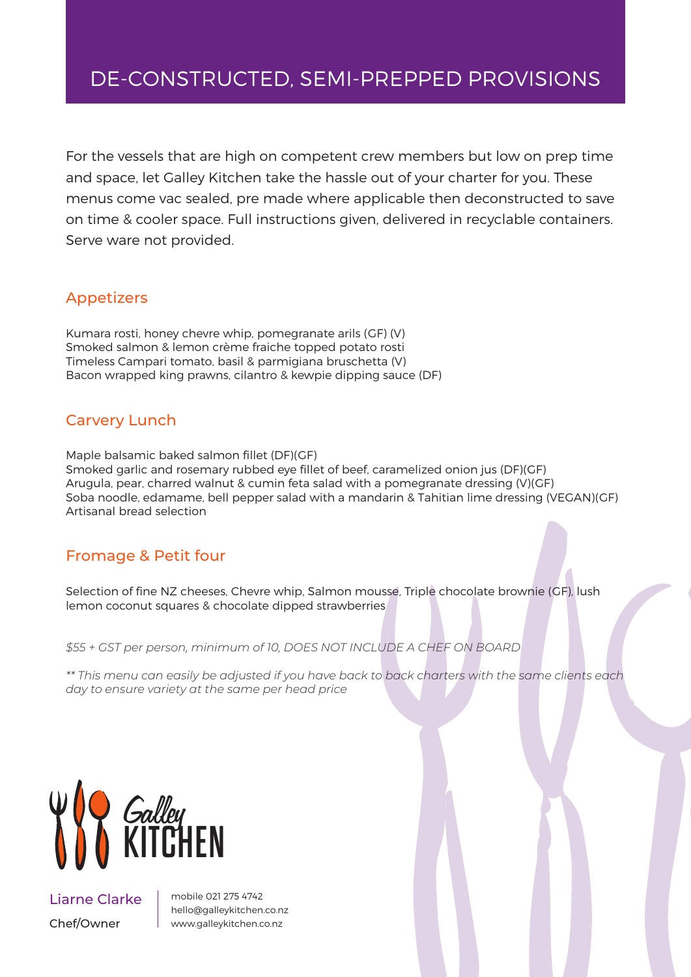# DE-CONSTRUCTED, SEMI-PREPPED PROVISIONS

For the vessels that are high on competent crew members but low on prep time and space, let Galley Kitchen take the hassle out of your charter for you. These menus come vac sealed, pre made where applicable then deconstructed to save on time & cooler space. Full instructions given, delivered in recyclable containers. Serve ware not provided.

### Appetizers

Kumara rosti, honey chevre whip, pomegranate arils (GF) (V) Smoked salmon & lemon crème fraiche topped potato rosti Timeless Campari tomato, basil & parmigiana bruschetta (V) Bacon wrapped king prawns, cilantro & kewpie dipping sauce (DF)

### Carvery Lunch

Maple balsamic baked salmon fillet (DF)(GF) Smoked garlic and rosemary rubbed eye fillet of beef, caramelized onion jus (DF)(GF) Arugula, pear, charred walnut & cumin feta salad with a pomegranate dressing (V)(GF) Soba noodle, edamame, bell pepper salad with a mandarin & Tahitian lime dressing (VEGAN)(GF) Artisanal bread selection

#### Fromage & Petit four

Selection of fine NZ cheeses, Chevre whip, Salmon mousse, Triple chocolate brownie (GF), lush lemon coconut squares & chocolate dipped strawberries

*\$55 + GST per person, minimum of 10, DOES NOT INCLUDE A CHEF ON BOARD* 

*\*\* This menu can easily be adjusted if you have back to back charters with the same clients each day to ensure variety at the same per head price*



Liarne Clarke Chef/Owner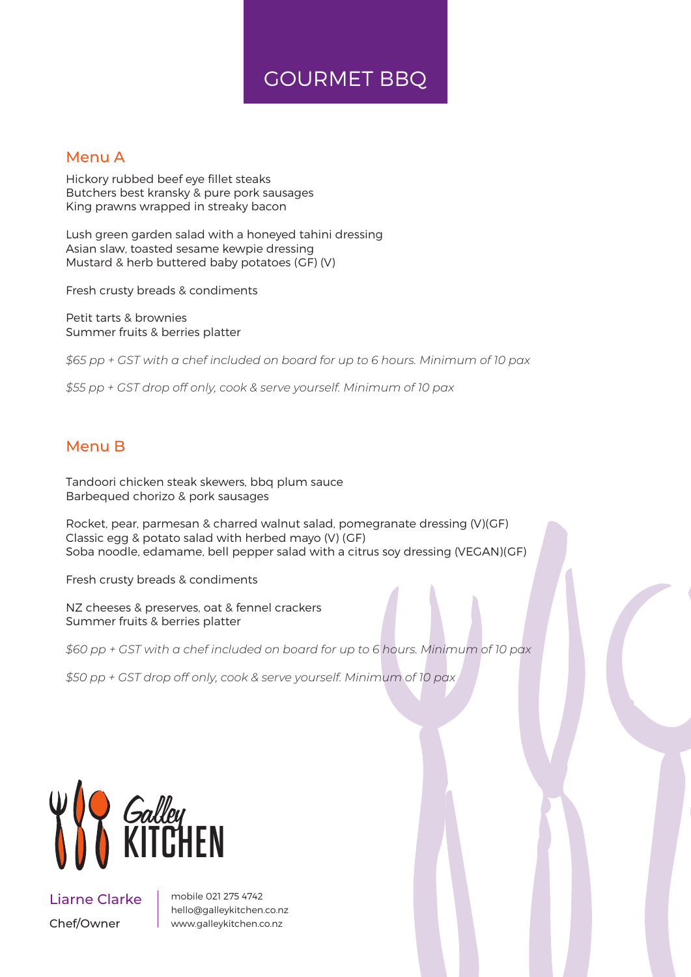## GOURMET BBQ

#### Menu A

Hickory rubbed beef eye fillet steaks Butchers best kransky & pure pork sausages King prawns wrapped in streaky bacon

Lush green garden salad with a honeyed tahini dressing Asian slaw, toasted sesame kewpie dressing Mustard & herb buttered baby potatoes (GF) (V)

Fresh crusty breads & condiments

Petit tarts & brownies Summer fruits & berries platter

*\$65 pp + GST with a chef included on board for up to 6 hours. Minimum of 10 pax*

*\$55 pp + GST drop off only, cook & serve yourself. Minimum of 10 pax*

#### Menu B

Tandoori chicken steak skewers, bbq plum sauce Barbequed chorizo & pork sausages

Rocket, pear, parmesan & charred walnut salad, pomegranate dressing (V)(GF) Classic egg & potato salad with herbed mayo (V) (GF) Soba noodle, edamame, bell pepper salad with a citrus soy dressing (VEGAN)(GF)

Fresh crusty breads & condiments

NZ cheeses & preserves, oat & fennel crackers Summer fruits & berries platter

*\$60 pp + GST with a chef included on board for up to 6 hours. Minimum of 10 pax*

*\$50 pp + GST drop off only, cook & serve yourself. Minimum of 10 pax*



Liarne Clarke Chef/Owner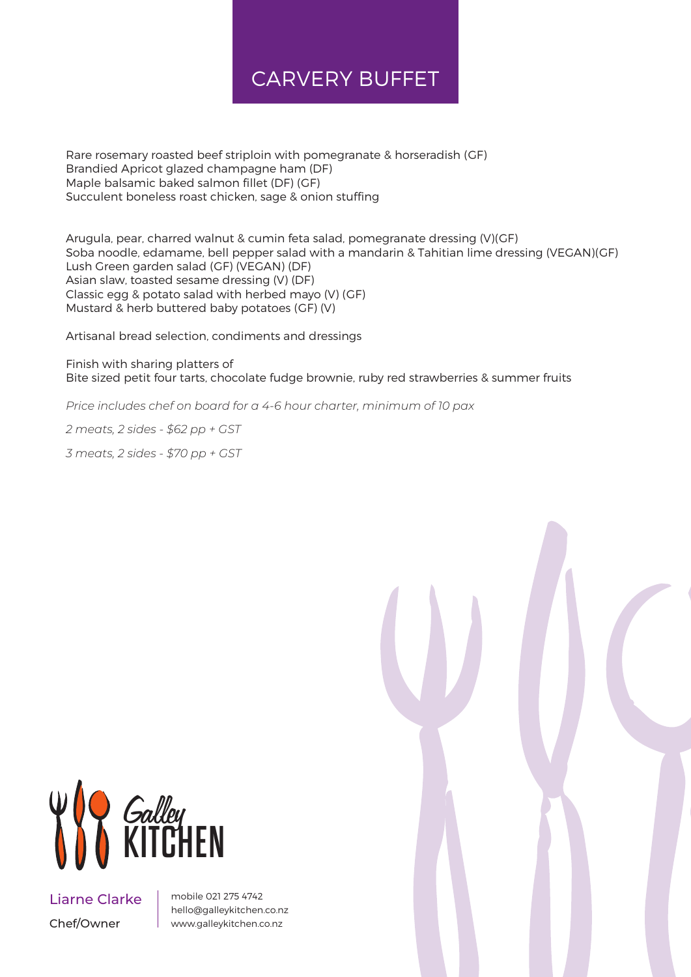# CARVERY BUFFET

Rare rosemary roasted beef striploin with pomegranate & horseradish (GF) Brandied Apricot glazed champagne ham (DF) Maple balsamic baked salmon fillet (DF) (GF) Succulent boneless roast chicken, sage & onion stuffing

Arugula, pear, charred walnut & cumin feta salad, pomegranate dressing (V)(GF) Soba noodle, edamame, bell pepper salad with a mandarin & Tahitian lime dressing (VEGAN)(GF) Lush Green garden salad (GF) (VEGAN) (DF) Asian slaw, toasted sesame dressing (V) (DF) Classic egg & potato salad with herbed mayo (V) (GF) Mustard & herb buttered baby potatoes (GF) (V)

Artisanal bread selection, condiments and dressings

Finish with sharing platters of Bite sized petit four tarts, chocolate fudge brownie, ruby red strawberries & summer fruits

*Price includes chef on board for a 4-6 hour charter, minimum of 10 pax*

*2 meats, 2 sides - \$62 pp + GST*

*3 meats, 2 sides - \$70 pp + GST*



Liarne Clarke Chef/Owner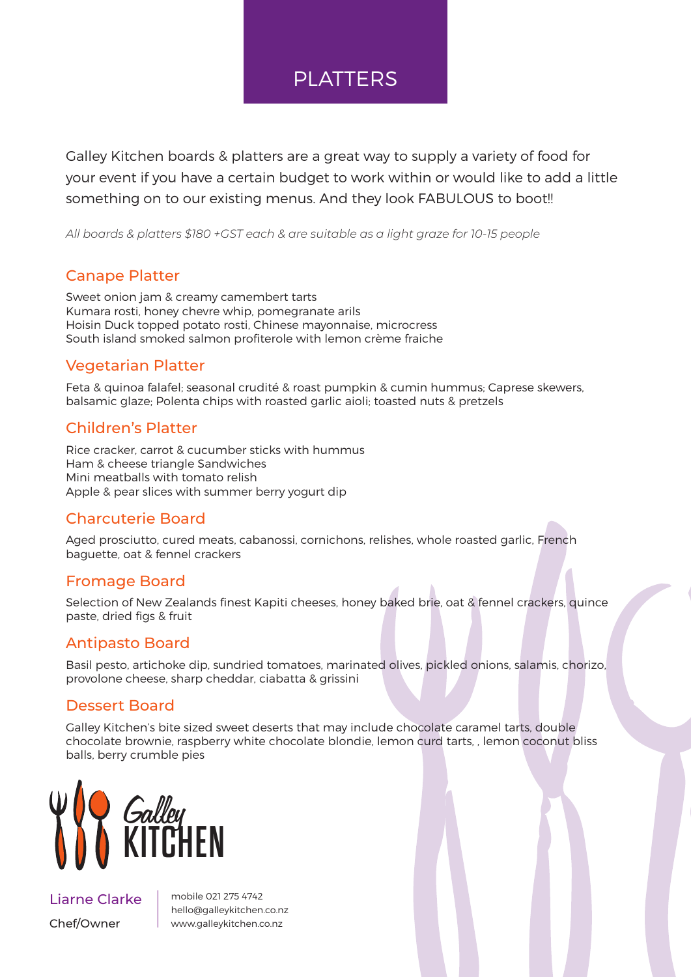### PLATTERS

Galley Kitchen boards & platters are a great way to supply a variety of food for your event if you have a certain budget to work within or would like to add a little something on to our existing menus. And they look FABULOUS to boot!!

*All boards & platters \$180 +GST each & are suitable as a light graze for 10-15 people*

#### Canape Platter

Sweet onion jam & creamy camembert tarts Kumara rosti, honey chevre whip, pomegranate arils Hoisin Duck topped potato rosti, Chinese mayonnaise, microcress South island smoked salmon profiterole with lemon crème fraiche

### Vegetarian Platter

Feta & quinoa falafel; seasonal crudité & roast pumpkin & cumin hummus; Caprese skewers, balsamic glaze; Polenta chips with roasted garlic aioli; toasted nuts & pretzels

### Children's Platter

Rice cracker, carrot & cucumber sticks with hummus Ham & cheese triangle Sandwiches Mini meatballs with tomato relish Apple & pear slices with summer berry yogurt dip

### Charcuterie Board

Aged prosciutto, cured meats, cabanossi, cornichons, relishes, whole roasted garlic, French baguette, oat & fennel crackers

### Fromage Board

Selection of New Zealands finest Kapiti cheeses, honey baked brie, oat & fennel crackers, quince paste, dried figs & fruit

### Antipasto Board

Basil pesto, artichoke dip, sundried tomatoes, marinated olives, pickled onions, salamis, chorizo, provolone cheese, sharp cheddar, ciabatta & grissini

### Dessert Board

Galley Kitchen's bite sized sweet deserts that may include chocolate caramel tarts, double chocolate brownie, raspberry white chocolate blondie, lemon curd tarts, , lemon coconut bliss balls, berry crumble pies



Liarne Clarke Chef/Owner